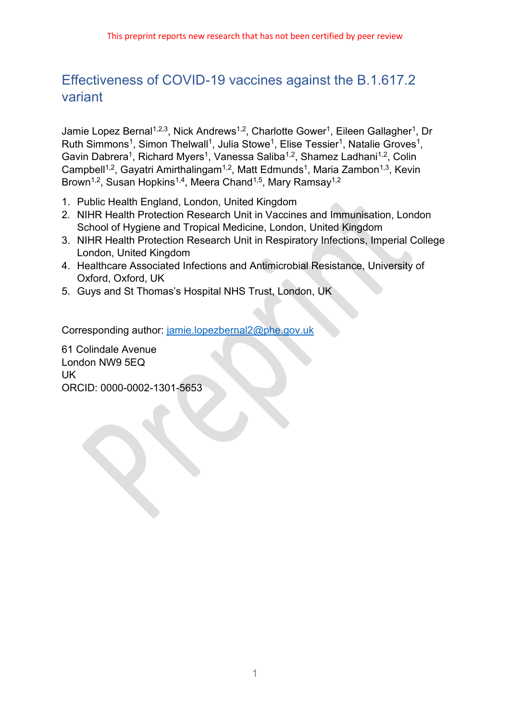# Effectiveness of COVID-19 vaccines against the B.1.617.2 variant

Jamie Lopez Bernal<sup>1,2,3</sup>, Nick Andrews<sup>1,2</sup>, Charlotte Gower<sup>1</sup>, Eileen Gallagher<sup>1</sup>, Dr Ruth Simmons<sup>1</sup>, Simon Thelwall<sup>1</sup>, Julia Stowe<sup>1</sup>, Elise Tessier<sup>1</sup>, Natalie Groves<sup>1</sup>, Gavin Dabrera<sup>1</sup>, Richard Myers<sup>1</sup>, Vanessa Saliba<sup>1,2</sup>, Shamez Ladhani<sup>1,2</sup>, Colin Campbell<sup>1,2</sup>, Gayatri Amirthalingam<sup>1,2</sup>, Matt Edmunds<sup>1</sup>, Maria Zambon<sup>1,3</sup>, Kevin Brown<sup>1,2</sup>, Susan Hopkins<sup>1,4</sup>, Meera Chand<sup>1,5</sup>, Mary Ramsay<sup>1,2</sup>

- 1. Public Health England, London, United Kingdom
- 2. NIHR Health Protection Research Unit in Vaccines and Immunisation, London School of Hygiene and Tropical Medicine, London, United Kingdom
- 3. NIHR Health Protection Research Unit in Respiratory Infections, Imperial College London, United Kingdom
- 4. Healthcare Associated Infections and Antimicrobial Resistance, University of Oxford, Oxford, UK
- 5. Guys and St Thomas's Hospital NHS Trust, London, UK

Corresponding author: [jamie.lopezbernal2@phe.gov.uk](mailto:jamie.lopezbernal2@phe.gov.uk)

61 Colindale Avenue London NW9 5EQ UK ORCID: 0000-0002-1301-5653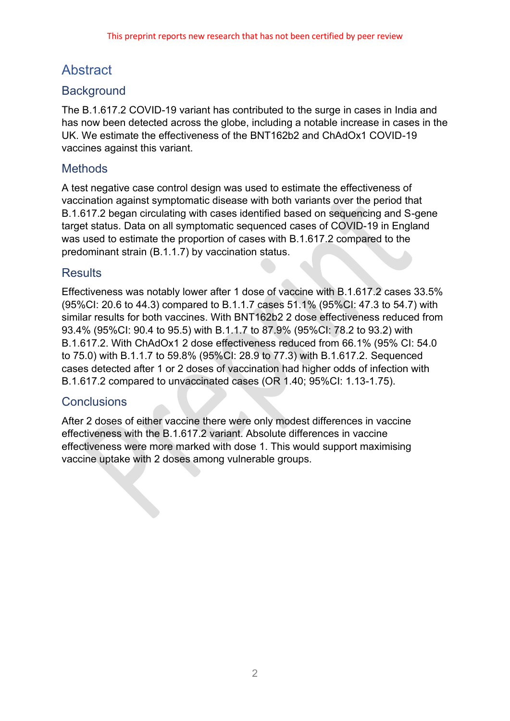# Abstract

## **Background**

The B.1.617.2 COVID-19 variant has contributed to the surge in cases in India and has now been detected across the globe, including a notable increase in cases in the UK. We estimate the effectiveness of the BNT162b2 and ChAdOx1 COVID-19 vaccines against this variant.

## **Methods**

A test negative case control design was used to estimate the effectiveness of vaccination against symptomatic disease with both variants over the period that B.1.617.2 began circulating with cases identified based on sequencing and S-gene target status. Data on all symptomatic sequenced cases of COVID-19 in England was used to estimate the proportion of cases with B.1.617.2 compared to the predominant strain (B.1.1.7) by vaccination status.

## **Results**

Effectiveness was notably lower after 1 dose of vaccine with B.1.617.2 cases 33.5% (95%CI: 20.6 to 44.3) compared to B.1.1.7 cases 51.1% (95%CI: 47.3 to 54.7) with similar results for both vaccines. With BNT162b2 2 dose effectiveness reduced from 93.4% (95%CI: 90.4 to 95.5) with B.1.1.7 to 87.9% (95%CI: 78.2 to 93.2) with B.1.617.2. With ChAdOx1 2 dose effectiveness reduced from 66.1% (95% CI: 54.0 to 75.0) with B.1.1.7 to 59.8% (95%CI: 28.9 to 77.3) with B.1.617.2. Sequenced cases detected after 1 or 2 doses of vaccination had higher odds of infection with B.1.617.2 compared to unvaccinated cases (OR 1.40; 95%CI: 1.13-1.75).

## **Conclusions**

After 2 doses of either vaccine there were only modest differences in vaccine effectiveness with the B.1.617.2 variant. Absolute differences in vaccine effectiveness were more marked with dose 1. This would support maximising vaccine uptake with 2 doses among vulnerable groups.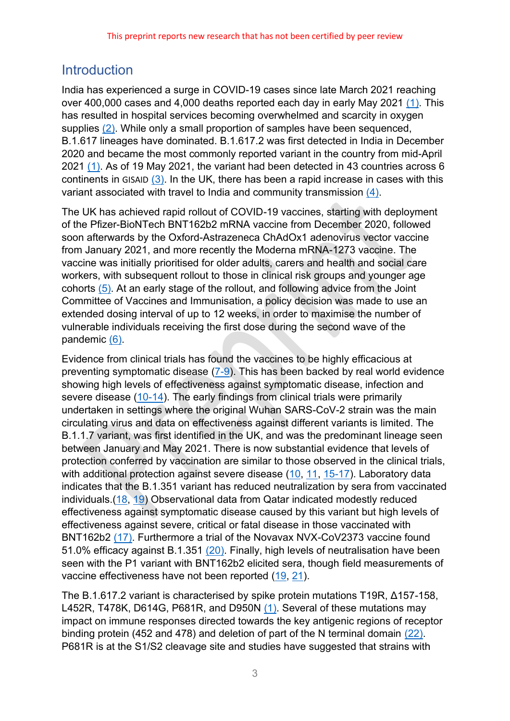## **Introduction**

India has experienced a surge in COVID-19 cases since late March 2021 reaching over 400,000 cases and 4,000 deaths reported each day in early May 2021 [\(1\).](#page-13-0) This has resulted in hospital services becoming overwhelmed and scarcity in oxygen supplies [\(2\).](#page-13-1) While only a small proportion of samples have been sequenced, B.1.617 lineages have dominated. B.1.617.2 was first detected in India in December 2020 and became the most commonly reported variant in the country from mid-April 2021 [\(1\).](#page-13-0) As of 19 May 2021, the variant had been detected in 43 countries across 6 continents in GISAID [\(3\).](#page-13-2) In the UK, there has been a rapid increase in cases with this variant associated with travel to India and community transmission [\(4\).](#page-13-3)

The UK has achieved rapid rollout of COVID-19 vaccines, starting with deployment of the Pfizer-BioNTech BNT162b2 mRNA vaccine from December 2020, followed soon afterwards by the Oxford-Astrazeneca ChAdOx1 adenovirus vector vaccine from January 2021, and more recently the Moderna mRNA-1273 vaccine. The vaccine was initially prioritised for older adults, carers and health and social care workers, with subsequent rollout to those in clinical risk groups and younger age cohorts [\(5\).](#page-13-4) At an early stage of the rollout, and following advice from the Joint Committee of Vaccines and Immunisation, a policy decision was made to use an extended dosing interval of up to 12 weeks, in order to maximise the number of vulnerable individuals receiving the first dose during the second wave of the pandemic [\(6\).](#page-13-5)

Evidence from clinical trials has found the vaccines to be highly efficacious at preventing symptomatic disease [\(7-9\)](#page-13-6). This has been backed by real world evidence showing high levels of effectiveness against symptomatic disease, infection and severe disease [\(10-14\)](#page-13-7). The early findings from clinical trials were primarily undertaken in settings where the original Wuhan SARS-CoV-2 strain was the main circulating virus and data on effectiveness against different variants is limited. The B.1.1.7 variant, was first identified in the UK, and was the predominant lineage seen between January and May 2021. There is now substantial evidence that levels of protection conferred by vaccination are similar to those observed in the clinical trials, with additional protection against severe disease [\(10,](#page-13-7) [11,](#page-13-8) [15-17\)](#page-14-0). Laboratory data indicates that the B.1.351 variant has reduced neutralization by sera from vaccinated individuals.[\(18,](#page-14-1) [19\)](#page-14-2) Observational data from Qatar indicated modestly reduced effectiveness against symptomatic disease caused by this variant but high levels of effectiveness against severe, critical or fatal disease in those vaccinated with BNT162b2 [\(17\).](#page-14-3) Furthermore a trial of the Novavax NVX-CoV2373 vaccine found 51.0% efficacy against B.1.351 [\(20\).](#page-14-4) Finally, high levels of neutralisation have been seen with the P1 variant with BNT162b2 elicited sera, though field measurements of vaccine effectiveness have not been reported [\(19,](#page-14-2) [21\)](#page-14-5).

The B.1.617.2 variant is characterised by spike protein mutations T19R, Δ157-158, L452R, T478K, D614G, P681R, and D950N [\(1\).](#page-13-0) Several of these mutations may impact on immune responses directed towards the key antigenic regions of receptor binding protein (452 and 478) and deletion of part of the N terminal domain [\(22\).](#page-14-6) P681R is at the S1/S2 cleavage site and studies have suggested that strains with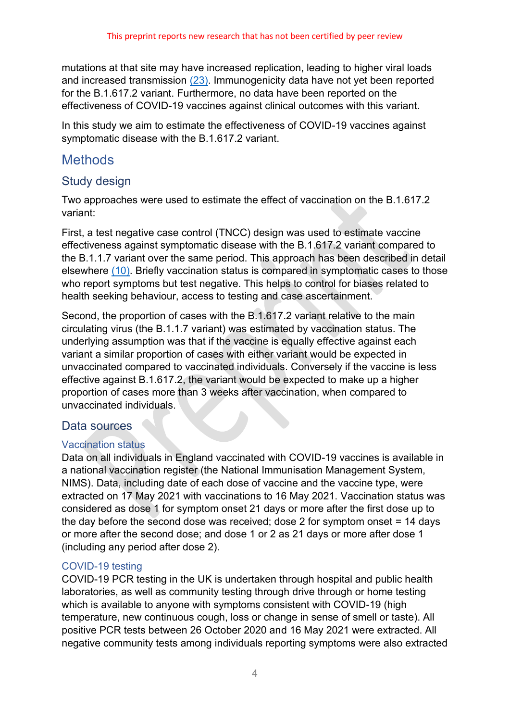mutations at that site may have increased replication, leading to higher viral loads and increased transmission [\(23\).](#page-14-7) Immunogenicity data have not yet been reported for the B.1.617.2 variant. Furthermore, no data have been reported on the effectiveness of COVID-19 vaccines against clinical outcomes with this variant.

In this study we aim to estimate the effectiveness of COVID-19 vaccines against symptomatic disease with the B.1.617.2 variant.

## **Methods**

## Study design

Two approaches were used to estimate the effect of vaccination on the B.1.617.2 variant:

First, a test negative case control (TNCC) design was used to estimate vaccine effectiveness against symptomatic disease with the B.1.617.2 variant compared to the B.1.1.7 variant over the same period. This approach has been described in detail elsewhere [\(10\).](#page-13-7) Briefly vaccination status is compared in symptomatic cases to those who report symptoms but test negative. This helps to control for biases related to health seeking behaviour, access to testing and case ascertainment.

Second, the proportion of cases with the B.1.617.2 variant relative to the main circulating virus (the B.1.1.7 variant) was estimated by vaccination status. The underlying assumption was that if the vaccine is equally effective against each variant a similar proportion of cases with either variant would be expected in unvaccinated compared to vaccinated individuals. Conversely if the vaccine is less effective against B.1.617.2, the variant would be expected to make up a higher proportion of cases more than 3 weeks after vaccination, when compared to unvaccinated individuals.

### Data sources

#### Vaccination status

Data on all individuals in England vaccinated with COVID-19 vaccines is available in a national vaccination register (the National Immunisation Management System, NIMS). Data, including date of each dose of vaccine and the vaccine type, were extracted on 17 May 2021 with vaccinations to 16 May 2021. Vaccination status was considered as dose 1 for symptom onset 21 days or more after the first dose up to the day before the second dose was received; dose 2 for symptom onset = 14 days or more after the second dose; and dose 1 or 2 as 21 days or more after dose 1 (including any period after dose 2).

### COVID-19 testing

COVID-19 PCR testing in the UK is undertaken through hospital and public health laboratories, as well as community testing through drive through or home testing which is available to anyone with symptoms consistent with COVID-19 (high temperature, new continuous cough, loss or change in sense of smell or taste). All positive PCR tests between 26 October 2020 and 16 May 2021 were extracted. All negative community tests among individuals reporting symptoms were also extracted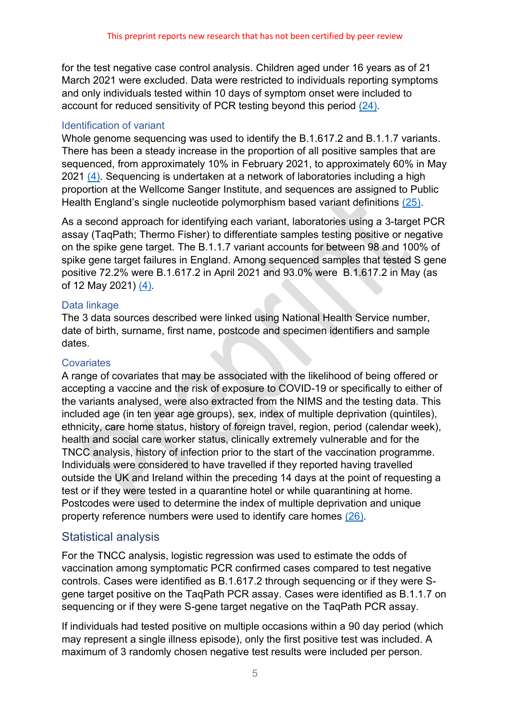for the test negative case control analysis. Children aged under 16 years as of 21 March 2021 were excluded. Data were restricted to individuals reporting symptoms and only individuals tested within 10 days of symptom onset were included to account for reduced sensitivity of PCR testing beyond this period [\(24\).](#page-14-8)

#### Identification of variant

Whole genome sequencing was used to identify the B.1.617.2 and B.1.1.7 variants. There has been a steady increase in the proportion of all positive samples that are sequenced, from approximately 10% in February 2021, to approximately 60% in May 2021 [\(4\).](#page-13-3) Sequencing is undertaken at a network of laboratories including a high proportion at the Wellcome Sanger Institute, and sequences are assigned to Public Health England's single nucleotide polymorphism based variant definitions [\(25\).](#page-14-9)

As a second approach for identifying each variant, laboratories using a 3-target PCR assay (TaqPath; Thermo Fisher) to differentiate samples testing positive or negative on the spike gene target. The B.1.1.7 variant accounts for between 98 and 100% of spike gene target failures in England. Among sequenced samples that tested S gene positive 72.2% were B.1.617.2 in April 2021 and 93.0% were B.1.617.2 in May (as of 12 May 2021) [\(4\)](#page-13-3)*.* 

#### Data linkage

The 3 data sources described were linked using National Health Service number, date of birth, surname, first name, postcode and specimen identifiers and sample dates.

#### **Covariates**

A range of covariates that may be associated with the likelihood of being offered or accepting a vaccine and the risk of exposure to COVID-19 or specifically to either of the variants analysed, were also extracted from the NIMS and the testing data. This included age (in ten year age groups), sex, index of multiple deprivation (quintiles), ethnicity, care home status, history of foreign travel, region, period (calendar week), health and social care worker status, clinically extremely vulnerable and for the TNCC analysis, history of infection prior to the start of the vaccination programme. Individuals were considered to have travelled if they reported having travelled outside the UK and Ireland within the preceding 14 days at the point of requesting a test or if they were tested in a quarantine hotel or while quarantining at home. Postcodes were used to determine the index of multiple deprivation and unique property reference numbers were used to identify care homes [\(26\).](#page-14-10)

### Statistical analysis

For the TNCC analysis, logistic regression was used to estimate the odds of vaccination among symptomatic PCR confirmed cases compared to test negative controls. Cases were identified as B.1.617.2 through sequencing or if they were Sgene target positive on the TaqPath PCR assay. Cases were identified as B.1.1.7 on sequencing or if they were S-gene target negative on the TaqPath PCR assay.

If individuals had tested positive on multiple occasions within a 90 day period (which may represent a single illness episode), only the first positive test was included. A maximum of 3 randomly chosen negative test results were included per person.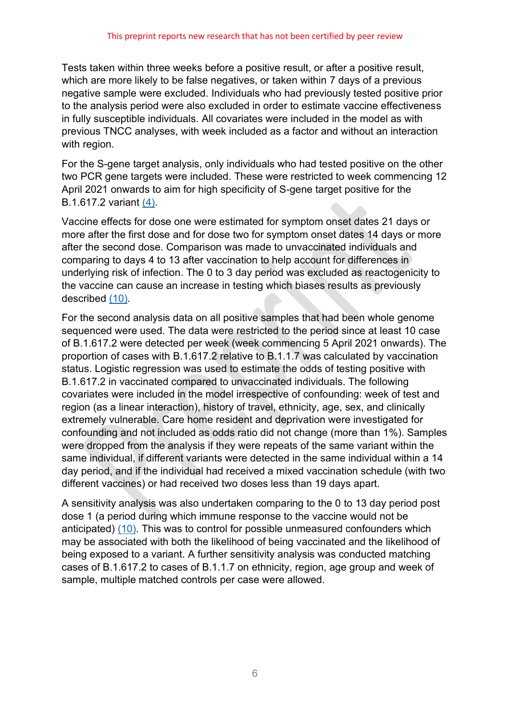Tests taken within three weeks before a positive result, or after a positive result, which are more likely to be false negatives, or taken within 7 days of a previous negative sample were excluded. Individuals who had previously tested positive prior to the analysis period were also excluded in order to estimate vaccine effectiveness in fully susceptible individuals. All covariates were included in the model as with previous TNCC analyses, with week included as a factor and without an interaction with region.

For the S-gene target analysis, only individuals who had tested positive on the other two PCR gene targets were included. These were restricted to week commencing 12 April 2021 onwards to aim for high specificity of S-gene target positive for the B.1.617.2 variant [\(4\).](#page-13-3)

Vaccine effects for dose one were estimated for symptom onset dates 21 days or more after the first dose and for dose two for symptom onset dates 14 days or more after the second dose. Comparison was made to unvaccinated individuals and comparing to days 4 to 13 after vaccination to help account for differences in underlying risk of infection. The 0 to 3 day period was excluded as reactogenicity to the vaccine can cause an increase in testing which biases results as previously described [\(10\).](#page-13-7)

For the second analysis data on all positive samples that had been whole genome sequenced were used. The data were restricted to the period since at least 10 case of B.1.617.2 were detected per week (week commencing 5 April 2021 onwards). The proportion of cases with B.1.617.2 relative to B.1.1.7 was calculated by vaccination status. Logistic regression was used to estimate the odds of testing positive with B.1.617.2 in vaccinated compared to unvaccinated individuals. The following covariates were included in the model irrespective of confounding: week of test and region (as a linear interaction), history of travel, ethnicity, age, sex, and clinically extremely vulnerable. Care home resident and deprivation were investigated for confounding and not included as odds ratio did not change (more than 1%). Samples were dropped from the analysis if they were repeats of the same variant within the same individual, if different variants were detected in the same individual within a 14 day period, and if the individual had received a mixed vaccination schedule (with two different vaccines) or had received two doses less than 19 days apart.

A sensitivity analysis was also undertaken comparing to the 0 to 13 day period post dose 1 (a period during which immune response to the vaccine would not be anticipated) [\(10\).](#page-13-7) This was to control for possible unmeasured confounders which may be associated with both the likelihood of being vaccinated and the likelihood of being exposed to a variant. A further sensitivity analysis was conducted matching cases of B.1.617.2 to cases of B.1.1.7 on ethnicity, region, age group and week of sample, multiple matched controls per case were allowed.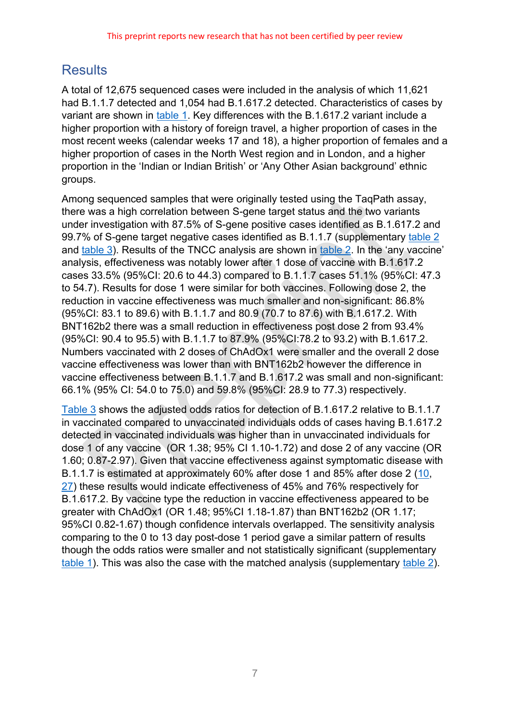# **Results**

A total of 12,675 sequenced cases were included in the analysis of which 11,621 had B.1.1.7 detected and 1,054 had B.1.617.2 detected. Characteristics of cases by variant are shown in [table 1.](#page-7-0) Key differences with the B.1.617.2 variant include a higher proportion with a history of foreign travel, a higher proportion of cases in the most recent weeks (calendar weeks 17 and 18), a higher proportion of females and a higher proportion of cases in the North West region and in London, and a higher proportion in the 'Indian or Indian British' or 'Any Other Asian background' ethnic groups.

Among sequenced samples that were originally tested using the TaqPath assay, there was a high correlation between S-gene target status and the two variants under investigation with 87.5% of S-gene positive cases identified as B.1.617.2 and 99.7% of S-gene target negative cases identified as B.1.1.7 (supplementary [table 2](#page-8-0) and [table](#page-8-1) 3). Results of the TNCC analysis are shown in [table 2.](#page-8-0) In the 'any vaccine' analysis, effectiveness was notably lower after 1 dose of vaccine with B.1.617.2 cases 33.5% (95%CI: 20.6 to 44.3) compared to B.1.1.7 cases 51.1% (95%CI: 47.3 to 54.7). Results for dose 1 were similar for both vaccines. Following dose 2, the reduction in vaccine effectiveness was much smaller and non-significant: 86.8% (95%CI: 83.1 to 89.6) with B.1.1.7 and 80.9 (70.7 to 87.6) with B.1.617.2. With BNT162b2 there was a small reduction in effectiveness post dose 2 from 93.4% (95%CI: 90.4 to 95.5) with B.1.1.7 to 87.9% (95%CI:78.2 to 93.2) with B.1.617.2. Numbers vaccinated with 2 doses of ChAdOx1 were smaller and the overall 2 dose vaccine effectiveness was lower than with BNT162b2 however the difference in vaccine effectiveness between B.1.1.7 and B.1.617.2 was small and non-significant: 66.1% (95% CI: 54.0 to 75.0) and 59.8% (95%CI: 28.9 to 77.3) respectively.

[Table 3](#page-8-1) shows the adjusted odds ratios for detection of B.1.617.2 relative to B.1.1.7 in vaccinated compared to unvaccinated individuals odds of cases having B.1.617.2 detected in vaccinated individuals was higher than in unvaccinated individuals for dose 1 of any vaccine (OR 1.38; 95% CI 1.10-1.72) and dose 2 of any vaccine (OR 1.60; 0.87-2.97). Given that vaccine effectiveness against symptomatic disease with B.1.1.7 is estimated at approximately 60% after dose 1 and 85% after dose 2 [\(10,](#page-13-7) [27\)](#page-14-11) these results would indicate effectiveness of 45% and 76% respectively for B.1.617.2. By vaccine type the reduction in vaccine effectiveness appeared to be greater with ChAdOx1 (OR 1.48; 95%CI 1.18-1.87) than BNT162b2 (OR 1.17; 95%CI 0.82-1.67) though confidence intervals overlapped. The sensitivity analysis comparing to the 0 to 13 day post-dose 1 period gave a similar pattern of results though the odds ratios were smaller and not statistically significant (supplementary [table 1\)](#page-7-0). This was also the case with the matched analysis (supplementary [table 2\)](#page-8-0).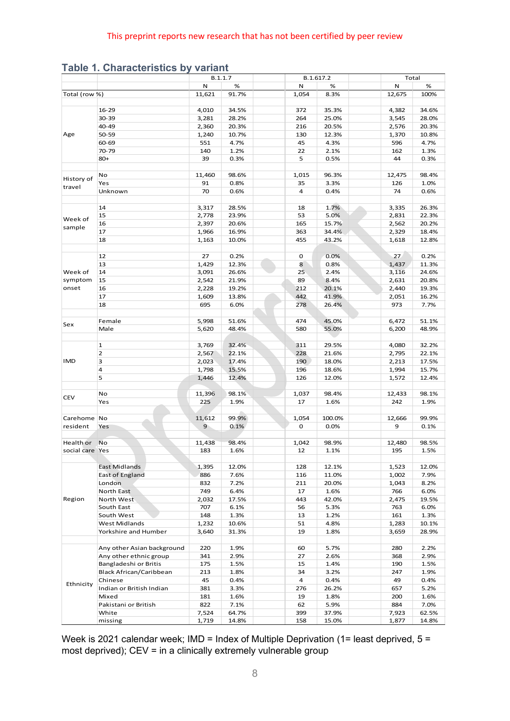|                 | <b>Table 1. Characteristics by variant</b> |               | B.1.1.7       |             | B.1.617.2      | Total         |               |
|-----------------|--------------------------------------------|---------------|---------------|-------------|----------------|---------------|---------------|
|                 |                                            | N             | %             | Ν           | %              | Ν             | %             |
| Total (row %)   |                                            | 11,621        | 91.7%         | 1,054       | 8.3%           | 12,675        | 100%          |
|                 |                                            |               |               |             |                |               |               |
| Age             | $16 - 29$                                  | 4,010         | 34.5%         | 372         | 35.3%          | 4,382         | 34.6%         |
|                 | 30-39                                      | 3,281         | 28.2%         | 264         | 25.0%          | 3,545         | 28.0%         |
|                 | 40-49                                      | 2,360         | 20.3%         | 216         | 20.5%          | 2,576         | 20.3%         |
|                 | 50-59                                      | 1,240         | 10.7%         | 130         | 12.3%          | 1,370         | 10.8%         |
|                 | 60-69                                      | 551           | 4.7%          | 45          | 4.3%           | 596           | 4.7%          |
|                 | 70-79                                      | 140           | 1.2%          | 22          | 2.1%           | 162           | 1.3%          |
|                 | $80+$                                      | 39            | 0.3%          | 5           | 0.5%           | 44            | 0.3%          |
|                 | No                                         | 11,460        | 98.6%         | 1,015       | 96.3%          | 12,475        | 98.4%         |
| History of      | Yes                                        | 91            | 0.8%          | 35          | 3.3%           | 126           | 1.0%          |
| travel          | Unknown                                    | 70            | 0.6%          | 4           | 0.4%           | 74            | 0.6%          |
|                 |                                            |               |               |             |                |               |               |
|                 | 14                                         | 3,317         | 28.5%         | 18          | 1.7%           | 3,335         | 26.3%         |
| Week of         | 15                                         | 2,778         | 23.9%         | 53          | 5.0%           | 2,831         | 22.3%         |
|                 | 16                                         | 2,397         | 20.6%         | 165         | 15.7%          | 2,562         | 20.2%         |
| sample          | 17                                         | 1,966         | 16.9%         | 363         | 34.4%          | 2,329         | 18.4%         |
|                 | 18                                         | 1,163         | 10.0%         | 455         | 43.2%          | 1,618         | 12.8%         |
|                 |                                            |               |               |             |                |               |               |
|                 | 12                                         | 27            | 0.2%          | 0           | 0.0%           | 27            | 0.2%          |
|                 | 13                                         | 1,429         | 12.3%         | 8           | 0.8%           | 1,437         | 11.3%         |
| Week of         | 14                                         | 3,091         | 26.6%         | 25          | 2.4%           | 3,116         | 24.6%         |
| symptom         | 15                                         | 2,542         | 21.9%         | 89          | 8.4%           | 2,631         | 20.8%         |
| onset           | 16                                         | 2,228         | 19.2%         | 212<br>442  | 20.1%          | 2,440         | 19.3%         |
|                 | 17<br>18                                   | 1,609<br>695  | 13.8%<br>6.0% | 278         | 41.9%<br>26.4% | 2,051<br>973  | 16.2%<br>7.7% |
|                 |                                            |               |               |             |                |               |               |
|                 | Female                                     | 5,998         | 51.6%         | 474         | 45.0%          | 6,472         | 51.1%         |
| Sex             | Male                                       | 5,620         | 48.4%         | 580         | 55.0%          | 6,200         | 48.9%         |
|                 |                                            |               |               |             |                |               |               |
|                 | 1                                          | 3,769         | 32.4%         | 311         | 29.5%          | 4,080         | 32.2%         |
|                 | $\overline{2}$                             | 2,567         | 22.1%         | 228         | 21.6%          | 2,795         | 22.1%         |
| IMD             | 3                                          | 2,023         | 17.4%         | 190         | 18.0%          | 2,213         | 17.5%         |
|                 | 4                                          | 1,798         | 15.5%         | 196         | 18.6%          | 1,994         | 15.7%         |
|                 | 5                                          | 1,446         | 12.4%         | 126         | 12.0%          | 1,572         | 12.4%         |
|                 |                                            |               |               |             |                |               |               |
| CEV             | No                                         | 11,396<br>225 | 98.1%         | 1,037<br>17 | 98.4%          | 12,433<br>242 | 98.1%         |
|                 | Yes                                        |               | 1.9%          |             | 1.6%           |               | 1.9%          |
| Carehome No     |                                            | 11,612        | 99.9%         | 1,054       | 100.0%         | 12,666        | 99.9%         |
| resident        | Yes                                        | 9             | 0.1%          | 0           | 0.0%           | 9             | 0.1%          |
|                 |                                            |               |               |             |                |               |               |
| Health or       | <b>No</b>                                  | 11,438        | 98.4%         | 1,042       | 98.9%          | 12,480        | 98.5%         |
| social care Yes |                                            | 183           | 1.6%          | 12          | 1.1%           | 195           | 1.5%          |
|                 |                                            |               |               |             |                |               |               |
| Region          | East Midlands                              | 1,395         | 12.0%         | 128         | 12.1%          | 1,523         | 12.0%         |
|                 | East of England                            | 886           | 7.6%          | 116         | 11.0%          | 1,002         | 7.9%          |
|                 | London                                     | 832           | 7.2%          | 211         | 20.0%          | 1,043         | 8.2%          |
|                 | North East                                 | 749           | 6.4%          | 17          | 1.6%           | 766           | 6.0%          |
|                 | North West                                 | 2,032         | 17.5%         | 443         | 42.0%          | 2,475         | 19.5%         |
|                 | South East                                 | 707           | 6.1%          | 56          | 5.3%           | 763           | 6.0%          |
|                 | South West<br><b>West Midlands</b>         | 148           | 1.3%          | 13          | 1.2%           | 161           | 1.3%          |
|                 | Yorkshire and Humber                       | 1,232         | 10.6%         | 51<br>19    | 4.8%           | 1,283         | 10.1%         |
|                 |                                            | 3,640         | 31.3%         |             | 1.8%           | 3,659         | 28.9%         |
|                 | Any other Asian background                 | 220           | 1.9%          | 60          | 5.7%           | 280<br>2.2%   |               |
|                 | Any other ethnic group                     | 341           | 2.9%          | 27          | 2.6%           | 368           | 2.9%          |
|                 | Bangladeshi or Britis                      | 175           | 1.5%          | 15          | 1.4%           | 190           | 1.5%          |
|                 | Black African/Caribbean                    | 213           | 1.8%          | 34          | 3.2%           | 247           | 1.9%          |
|                 | Chinese                                    | 45            | 0.4%          | 4           | 0.4%           | 49            | 0.4%          |
| Ethnicity       | Indian or British Indian                   | 381           | 3.3%          | 276         | 26.2%          | 657           | 5.2%          |
|                 | Mixed                                      | 181           | 1.6%          | 19          | 1.8%           | 200           | 1.6%          |
|                 | Pakistani or British                       | 822           | 7.1%          | 62          | 5.9%           | 884           | 7.0%          |
|                 | White                                      | 7,524         | 64.7%         |             | 37.9%          | 7,923         | 62.5%         |
|                 |                                            |               |               | 399         |                |               |               |

<span id="page-7-0"></span>**Table 1. Characteristics by variant**

Week is 2021 calendar week; IMD = Index of Multiple Deprivation (1= least deprived,  $5 =$ most deprived); CEV = in a clinically extremely vulnerable group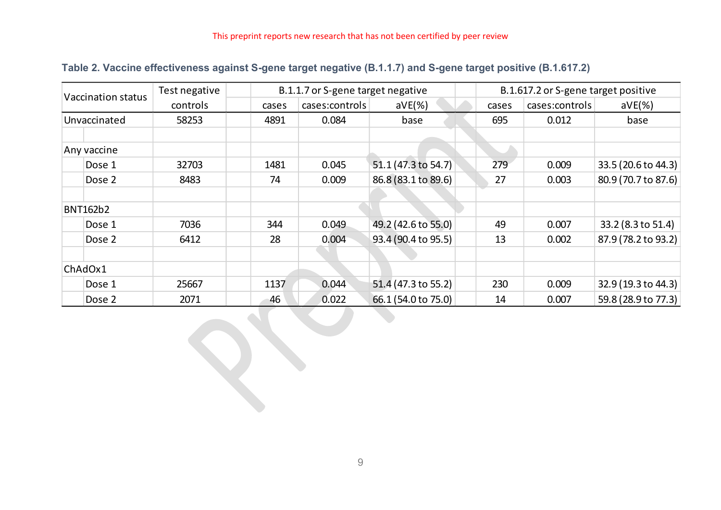|  |  | Table 2. Vaccine effectiveness against S-gene target negative (B.1.1.7) and S-gene target positive (B.1.617.2) |
|--|--|----------------------------------------------------------------------------------------------------------------|
|--|--|----------------------------------------------------------------------------------------------------------------|

| <b>Vaccination status</b> |                 | Test negative |       | B.1.1.7 or S-gene target negative |                     |       | B.1.617.2 or S-gene target positive |                     |  |  |
|---------------------------|-----------------|---------------|-------|-----------------------------------|---------------------|-------|-------------------------------------|---------------------|--|--|
|                           |                 | controls      | cases | cases:controls                    | $aVE(\%)$           | cases | cases:controls                      | $aVE(\%)$           |  |  |
|                           | Unvaccinated    | 58253         | 4891  | 0.084                             | base                | 695   | 0.012                               | base                |  |  |
|                           | Any vaccine     |               |       |                                   |                     |       |                                     |                     |  |  |
|                           | Dose 1          | 32703         | 1481  | 0.045                             | 51.1 (47.3 to 54.7) | 279   | 0.009                               | 33.5 (20.6 to 44.3) |  |  |
|                           | Dose 2          | 8483          | 74    | 0.009                             | 86.8 (83.1 to 89.6) | 27    | 0.003                               | 80.9 (70.7 to 87.6) |  |  |
|                           | <b>BNT162b2</b> |               |       |                                   |                     |       |                                     |                     |  |  |
|                           | Dose 1          | 7036          | 344   | 0.049                             | 49.2 (42.6 to 55.0) | 49    | 0.007                               | 33.2 (8.3 to 51.4)  |  |  |
|                           | Dose 2          | 6412          | 28    | 0.004                             | 93.4 (90.4 to 95.5) | 13    | 0.002                               | 87.9 (78.2 to 93.2) |  |  |
|                           | ChAdOx1         |               |       |                                   |                     |       |                                     |                     |  |  |
|                           | Dose 1          | 25667         | 1137  | 0.044                             | 51.4 (47.3 to 55.2) | 230   | 0.009                               | 32.9 (19.3 to 44.3) |  |  |
|                           | Dose 2          | 2071          | 46    | 0.022                             | 66.1 (54.0 to 75.0) | 14    | 0.007                               | 59.8 (28.9 to 77.3) |  |  |

<span id="page-8-1"></span><span id="page-8-0"></span>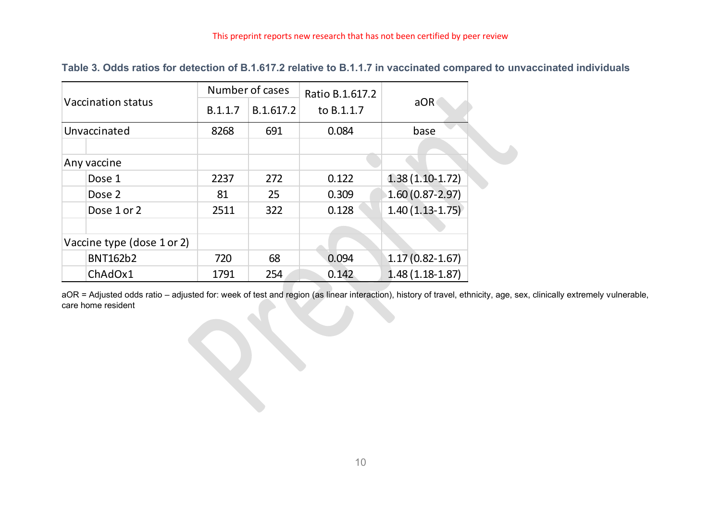|                            |         | Number of cases         | Ratio B.1.617.2 |                     |  |
|----------------------------|---------|-------------------------|-----------------|---------------------|--|
| Vaccination status         | B.1.1.7 | B.1.617.2<br>to B.1.1.7 |                 | aOR                 |  |
| Unvaccinated               | 8268    | 691                     | 0.084           | base                |  |
|                            |         |                         |                 |                     |  |
| Any vaccine                |         |                         |                 |                     |  |
| Dose 1                     | 2237    | 272                     | 0.122           | $1.38(1.10-1.72)$   |  |
| Dose 2                     | 81      | 25                      | 0.309           | $1.60(0.87-2.97)$   |  |
| Dose 1 or 2                | 2511    | 322                     | 0.128           | $1.40(1.13-1.75)$   |  |
|                            |         |                         |                 |                     |  |
| Vaccine type (dose 1 or 2) |         |                         |                 |                     |  |
| <b>BNT162b2</b>            | 720     | 68                      | 0.094           | $1.17(0.82 - 1.67)$ |  |
| ChAdOx1                    | 1791    | 254                     | 0.142           | $1.48(1.18-1.87)$   |  |

**Table 3. Odds ratios for detection of B.1.617.2 relative to B.1.1.7 in vaccinated compared to unvaccinated individuals**

aOR = Adjusted odds ratio – adjusted for: week of test and region (as linear interaction), history of travel, ethnicity, age, sex, clinically extremely vulnerable, care home resident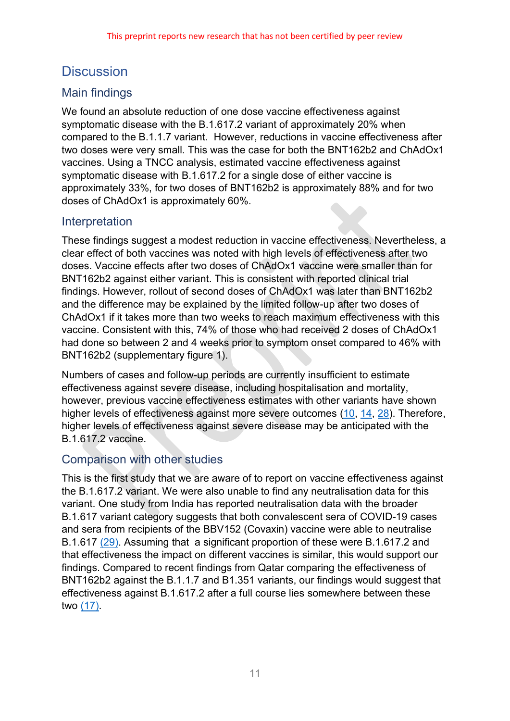# **Discussion**

## Main findings

We found an absolute reduction of one dose vaccine effectiveness against symptomatic disease with the B.1.617.2 variant of approximately 20% when compared to the B.1.1.7 variant. However, reductions in vaccine effectiveness after two doses were very small. This was the case for both the BNT162b2 and ChAdOx1 vaccines. Using a TNCC analysis, estimated vaccine effectiveness against symptomatic disease with B.1.617.2 for a single dose of either vaccine is approximately 33%, for two doses of BNT162b2 is approximately 88% and for two doses of ChAdOx1 is approximately 60%.

## Interpretation

These findings suggest a modest reduction in vaccine effectiveness. Nevertheless, a clear effect of both vaccines was noted with high levels of effectiveness after two doses. Vaccine effects after two doses of ChAdOx1 vaccine were smaller than for BNT162b2 against either variant. This is consistent with reported clinical trial findings. However, rollout of second doses of ChAdOx1 was later than BNT162b2 and the difference may be explained by the limited follow-up after two doses of ChAdOx1 if it takes more than two weeks to reach maximum effectiveness with this vaccine. Consistent with this, 74% of those who had received 2 doses of ChAdOx1 had done so between 2 and 4 weeks prior to symptom onset compared to 46% with BNT162b2 (supplementary figure 1).

Numbers of cases and follow-up periods are currently insufficient to estimate effectiveness against severe disease, including hospitalisation and mortality, however, previous vaccine effectiveness estimates with other variants have shown higher levels of effectiveness against more severe outcomes [\(10,](#page-13-7) [14,](#page-13-9) [28\)](#page-14-12). Therefore, higher levels of effectiveness against severe disease may be anticipated with the B.1.617.2 vaccine.

## Comparison with other studies

This is the first study that we are aware of to report on vaccine effectiveness against the B.1.617.2 variant. We were also unable to find any neutralisation data for this variant. One study from India has reported neutralisation data with the broader B.1.617 variant category suggests that both convalescent sera of COVID-19 cases and sera from recipients of the BBV152 (Covaxin) vaccine were able to neutralise B.1.617 [\(29\).](#page-14-13) Assuming that a significant proportion of these were B.1.617.2 and that effectiveness the impact on different vaccines is similar, this would support our findings. Compared to recent findings from Qatar comparing the effectiveness of BNT162b2 against the B.1.1.7 and B1.351 variants, our findings would suggest that effectiveness against B.1.617.2 after a full course lies somewhere between these two [\(17\).](#page-14-3)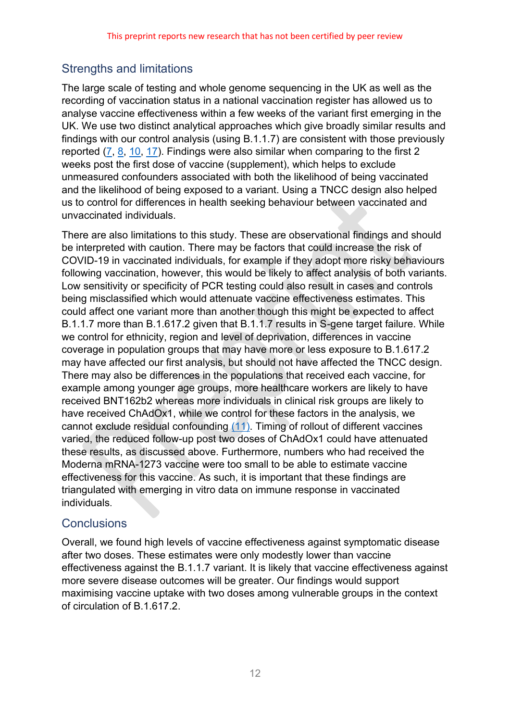## Strengths and limitations

The large scale of testing and whole genome sequencing in the UK as well as the recording of vaccination status in a national vaccination register has allowed us to analyse vaccine effectiveness within a few weeks of the variant first emerging in the UK. We use two distinct analytical approaches which give broadly similar results and findings with our control analysis (using B.1.1.7) are consistent with those previously reported [\(7,](#page-13-6) [8,](#page-13-10) [10,](#page-13-7) [17\)](#page-14-3). Findings were also similar when comparing to the first 2 weeks post the first dose of vaccine (supplement), which helps to exclude unmeasured confounders associated with both the likelihood of being vaccinated and the likelihood of being exposed to a variant. Using a TNCC design also helped us to control for differences in health seeking behaviour between vaccinated and unvaccinated individuals.

There are also limitations to this study. These are observational findings and should be interpreted with caution. There may be factors that could increase the risk of COVID-19 in vaccinated individuals, for example if they adopt more risky behaviours following vaccination, however, this would be likely to affect analysis of both variants. Low sensitivity or specificity of PCR testing could also result in cases and controls being misclassified which would attenuate vaccine effectiveness estimates. This could affect one variant more than another though this might be expected to affect B.1.1.7 more than B.1.617.2 given that B.1.1.7 results in S-gene target failure. While we control for ethnicity, region and level of deprivation, differences in vaccine coverage in population groups that may have more or less exposure to B.1.617.2 may have affected our first analysis, but should not have affected the TNCC design. There may also be differences in the populations that received each vaccine, for example among younger age groups, more healthcare workers are likely to have received BNT162b2 whereas more individuals in clinical risk groups are likely to have received ChAdOx1, while we control for these factors in the analysis, we cannot exclude residual confounding [\(11\).](#page-13-8) Timing of rollout of different vaccines varied, the reduced follow-up post two doses of ChAdOx1 could have attenuated these results, as discussed above. Furthermore, numbers who had received the Moderna mRNA-1273 vaccine were too small to be able to estimate vaccine effectiveness for this vaccine. As such, it is important that these findings are triangulated with emerging in vitro data on immune response in vaccinated individuals.

## **Conclusions**

Overall, we found high levels of vaccine effectiveness against symptomatic disease after two doses. These estimates were only modestly lower than vaccine effectiveness against the B.1.1.7 variant. It is likely that vaccine effectiveness against more severe disease outcomes will be greater. Our findings would support maximising vaccine uptake with two doses among vulnerable groups in the context of circulation of B.1.617.2.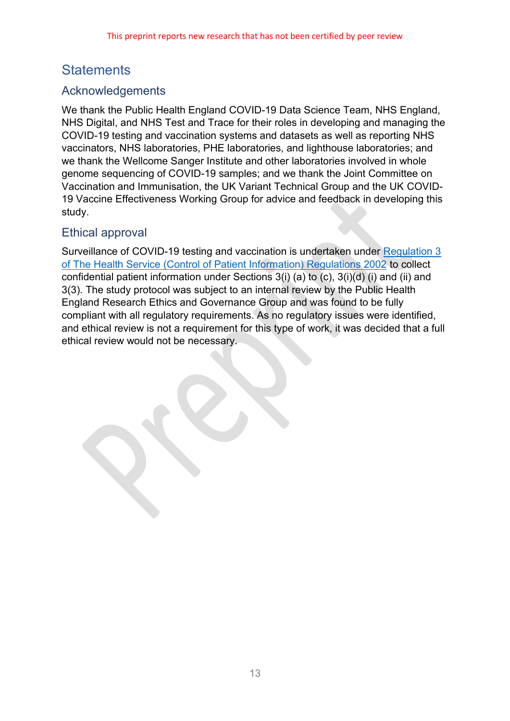# **Statements**

## Acknowledgements

We thank the Public Health England COVID-19 Data Science Team, NHS England, NHS Digital, and NHS Test and Trace for their roles in developing and managing the COVID-19 testing and vaccination systems and datasets as well as reporting NHS vaccinators, NHS laboratories, PHE laboratories, and lighthouse laboratories; and we thank the Wellcome Sanger Institute and other laboratories involved in whole genome sequencing of COVID-19 samples; and we thank the Joint Committee on Vaccination and Immunisation, the UK Variant Technical Group and the UK COVID-19 Vaccine Effectiveness Working Group for advice and feedback in developing this study.

## Ethical approval

Surveillance of COVID-19 testing and vaccination is undertaken under [Regulation 3](http://www.legislation.gov.uk/uksi/2002/1438/regulation/3/)  [of The Health Service \(Control of Patient Information\) Regulations 2002](http://www.legislation.gov.uk/uksi/2002/1438/regulation/3/) to collect confidential patient information under Sections 3(i) (a) to (c), 3(i)(d) (i) and (ii) and 3(3). The study protocol was subject to an internal review by the Public Health England Research Ethics and Governance Group and was found to be fully compliant with all regulatory requirements. As no regulatory issues were identified, and ethical review is not a requirement for this type of work, it was decided that a full ethical review would not be necessary.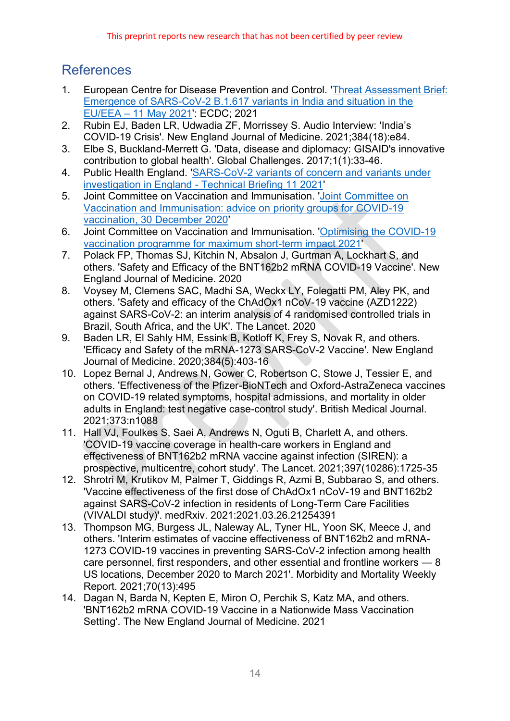# References

- <span id="page-13-0"></span>1. European Centre for Disease Prevention and Control. ['Threat Assessment Brief:](https://www.ecdc.europa.eu/sites/default/files/documents/Emergence-of-SARS-CoV-2-B.1.617-variants-in-India-and-situation-in-the-EUEEA_0.pdf)  [Emergence of SARS-CoV-2 B.1.617 variants in India and situation in the](https://www.ecdc.europa.eu/sites/default/files/documents/Emergence-of-SARS-CoV-2-B.1.617-variants-in-India-and-situation-in-the-EUEEA_0.pdf)  EU/EEA – [11 May 2021'](https://www.ecdc.europa.eu/sites/default/files/documents/Emergence-of-SARS-CoV-2-B.1.617-variants-in-India-and-situation-in-the-EUEEA_0.pdf): ECDC; 2021
- <span id="page-13-1"></span>2. Rubin EJ, Baden LR, Udwadia ZF, Morrissey S. Audio Interview: 'India's COVID-19 Crisis'. New England Journal of Medicine. 2021;384(18):e84.
- <span id="page-13-2"></span>3. Elbe S, Buckland-Merrett G. 'Data, disease and diplomacy: GISAID's innovative contribution to global health'. Global Challenges. 2017;1(1):33-46.
- <span id="page-13-3"></span>4. Public Health England. ['SARS-CoV-2 variants of concern and variants under](https://assets.publishing.service.gov.uk/government/uploads/system/uploads/attachment_data/file/986380/Variants_of_Concern_VOC_Technical_Briefing_11_England.pdf)  investigation in England - [Technical Briefing 11 2021'](https://assets.publishing.service.gov.uk/government/uploads/system/uploads/attachment_data/file/986380/Variants_of_Concern_VOC_Technical_Briefing_11_England.pdf)
- <span id="page-13-4"></span>5. Joint Committee on Vaccination and Immunisation. ['Joint Committee on](https://www.gov.uk/government/publications/priority-groups-for-coronavirus-covid-19-vaccination-advice-from-the-jcvi-30-december-2020/joint-committee-on-vaccination-and-immunisation-advice-on-priority-groups-for-covid-19-vaccination-30-december-2020#contents)  [Vaccination and Immunisation: advice on](https://www.gov.uk/government/publications/priority-groups-for-coronavirus-covid-19-vaccination-advice-from-the-jcvi-30-december-2020/joint-committee-on-vaccination-and-immunisation-advice-on-priority-groups-for-covid-19-vaccination-30-december-2020#contents) priority groups for COVID-19 [vaccination, 30 December 2020'](https://www.gov.uk/government/publications/priority-groups-for-coronavirus-covid-19-vaccination-advice-from-the-jcvi-30-december-2020/joint-committee-on-vaccination-and-immunisation-advice-on-priority-groups-for-covid-19-vaccination-30-december-2020#contents)
- <span id="page-13-5"></span>6. Joint Committee on Vaccination and Immunisation. ['Optimising the COVID-19](https://www.gov.uk/government/publications/prioritising-the-first-covid-19-vaccine-dose-jcvi-statement/optimising-the-covid-19-vaccination-programme-for-maximum-short-term-impact)  [vaccination programme for maximum short-term impact 2021'](https://www.gov.uk/government/publications/prioritising-the-first-covid-19-vaccine-dose-jcvi-statement/optimising-the-covid-19-vaccination-programme-for-maximum-short-term-impact)
- <span id="page-13-6"></span>7. Polack FP, Thomas SJ, Kitchin N, Absalon J, Gurtman A, Lockhart S, and others. 'Safety and Efficacy of the BNT162b2 mRNA COVID-19 Vaccine'. New England Journal of Medicine. 2020
- <span id="page-13-10"></span>8. Voysey M, Clemens SAC, Madhi SA, Weckx LY, Folegatti PM, Aley PK, and others. 'Safety and efficacy of the ChAdOx1 nCoV-19 vaccine (AZD1222) against SARS-CoV-2: an interim analysis of 4 randomised controlled trials in Brazil, South Africa, and the UK'. The Lancet. 2020
- 9. Baden LR, El Sahly HM, Essink B, Kotloff K, Frey S, Novak R, and others. 'Efficacy and Safety of the mRNA-1273 SARS-CoV-2 Vaccine'. New England Journal of Medicine. 2020;384(5):403-16
- <span id="page-13-7"></span>10. Lopez Bernal J, Andrews N, Gower C, Robertson C, Stowe J, Tessier E, and others. 'Effectiveness of the Pfizer-BioNTech and Oxford-AstraZeneca vaccines on COVID-19 related symptoms, hospital admissions, and mortality in older adults in England: test negative case-control study'. British Medical Journal. 2021;373:n1088
- <span id="page-13-8"></span>11. Hall VJ, Foulkes S, Saei A, Andrews N, Oguti B, Charlett A, and others. 'COVID-19 vaccine coverage in health-care workers in England and effectiveness of BNT162b2 mRNA vaccine against infection (SIREN): a prospective, multicentre, cohort study'. The Lancet. 2021;397(10286):1725-35
- 12. Shrotri M, Krutikov M, Palmer T, Giddings R, Azmi B, Subbarao S, and others. 'Vaccine effectiveness of the first dose of ChAdOx1 nCoV-19 and BNT162b2 against SARS-CoV-2 infection in residents of Long-Term Care Facilities (VIVALDI study)'. medRxiv. 2021:2021.03.26.21254391
- 13. Thompson MG, Burgess JL, Naleway AL, Tyner HL, Yoon SK, Meece J, and others. 'Interim estimates of vaccine effectiveness of BNT162b2 and mRNA-1273 COVID-19 vaccines in preventing SARS-CoV-2 infection among health care personnel, first responders, and other essential and frontline workers — 8 US locations, December 2020 to March 2021'. Morbidity and Mortality Weekly Report. 2021;70(13):495
- <span id="page-13-9"></span>14. Dagan N, Barda N, Kepten E, Miron O, Perchik S, Katz MA, and others. 'BNT162b2 mRNA COVID-19 Vaccine in a Nationwide Mass Vaccination Setting'. The New England Journal of Medicine. 2021